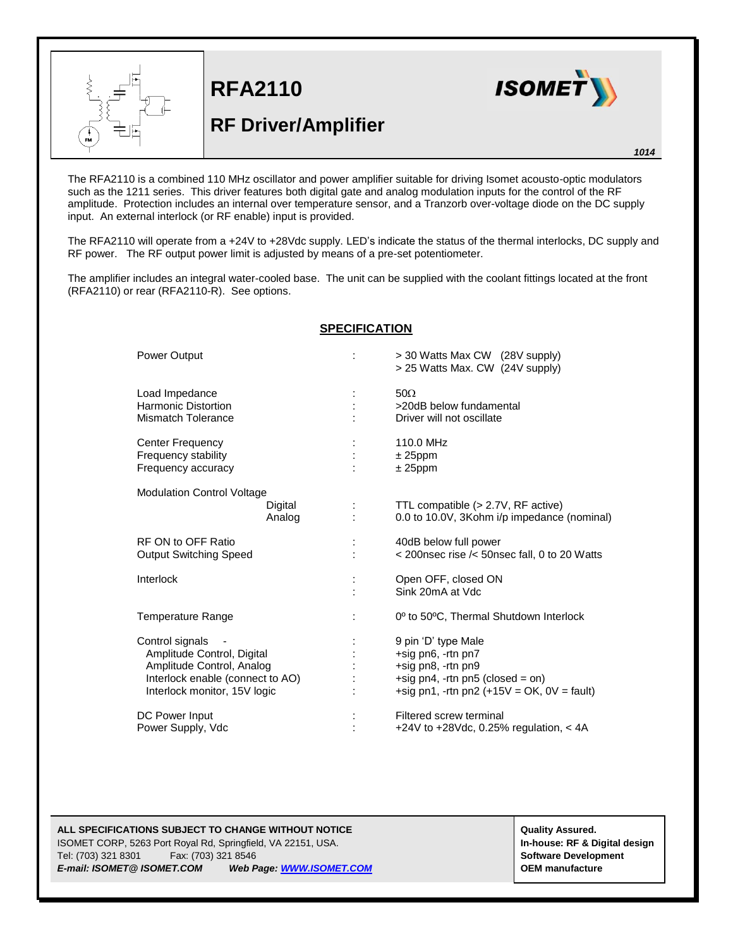

**RFA2110**

## **RF Driver/Amplifier**



The RFA2110 is a combined 110 MHz oscillator and power amplifier suitable for driving Isomet acousto-optic modulators such as the 1211 series. This driver features both digital gate and analog modulation inputs for the control of the RF amplitude. Protection includes an internal over temperature sensor, and a Tranzorb over-voltage diode on the DC supply input. An external interlock (or RF enable) input is provided.

The RFA2110 will operate from a +24V to +28Vdc supply. LED's indicate the status of the thermal interlocks, DC supply and RF power. The RF output power limit is adjusted by means of a pre-set potentiometer.

The amplifier includes an integral water-cooled base. The unit can be supplied with the coolant fittings located at the front (RFA2110) or rear (RFA2110-R). See options.

## **SPECIFICATION**

| <b>Power Output</b>                                                                                                                            | > 30 Watts Max CW (28V supply)<br>> 25 Watts Max. CW (24V supply)                                                                                   |
|------------------------------------------------------------------------------------------------------------------------------------------------|-----------------------------------------------------------------------------------------------------------------------------------------------------|
| Load Impedance<br>Harmonic Distortion<br>Mismatch Tolerance                                                                                    | $50\Omega$<br>>20dB below fundamental<br>Driver will not oscillate                                                                                  |
| <b>Center Frequency</b><br>Frequency stability<br>Frequency accuracy                                                                           | 110.0 MHz<br>$± 25$ ppm<br>$± 25$ ppm                                                                                                               |
| <b>Modulation Control Voltage</b><br>Digital<br>Analog                                                                                         | TTL compatible (> 2.7V, RF active)<br>0.0 to 10.0V, 3Kohm i/p impedance (nominal)                                                                   |
| RF ON to OFF Ratio<br><b>Output Switching Speed</b>                                                                                            | 40dB below full power<br>$<$ 200nsec rise $\prime$ 50nsec fall, 0 to 20 Watts                                                                       |
| Interlock                                                                                                                                      | Open OFF, closed ON<br>Sink 20mA at Vdc                                                                                                             |
| Temperature Range                                                                                                                              | 0° to 50°C, Thermal Shutdown Interlock                                                                                                              |
| Control signals<br>Amplitude Control, Digital<br>Amplitude Control, Analog<br>Interlock enable (connect to AO)<br>Interlock monitor, 15V logic | 9 pin 'D' type Male<br>+sig pn6, -rtn pn7<br>+sig pn8, -rtn pn9<br>+sig pn4, -rtn pn5 (closed = on)<br>+sig pn1, -rtn pn2 $(+15V = OK, 0V = fault)$ |
| DC Power Input<br>Power Supply, Vdc                                                                                                            | Filtered screw terminal<br>+24V to +28Vdc, 0.25% regulation, $<$ 4A                                                                                 |

## **ALL SPECIFICATIONS SUBJECT TO CHANGE WITHOUT NOTICE And CONTACT ASSURANT CONTRACT ASSURANT ASSURANT ASSURANT ASSURANT ASSURANT ASSURANT ASSURANT ASSURANT ASSURANT ASSURANT ASSURANT ASSURANT ASSURANT ASSURANT ASSURANT ASSU**

ISOMET CORP, 5263 Port Royal Rd, Springfield, VA 22151, USA. **In-house: RF & Digital design** Tel: (703) 321 8301 Fax: (703) 321 8546 **Software Development** *E-mail: ISOMET@ ISOMET.COM Web Page[: WWW.ISOMET.COM](http://www.isomet.com/)* **OEM manufacture**